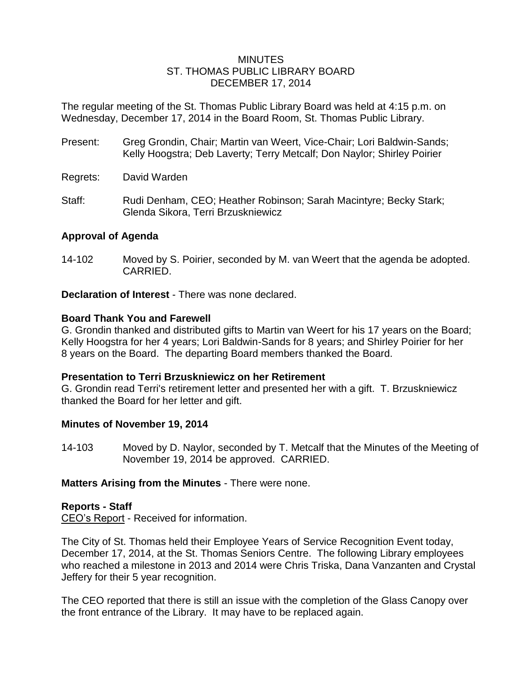#### MINUTES ST. THOMAS PUBLIC LIBRARY BOARD DECEMBER 17, 2014

The regular meeting of the St. Thomas Public Library Board was held at 4:15 p.m. on Wednesday, December 17, 2014 in the Board Room, St. Thomas Public Library.

- Present: Greg Grondin, Chair; Martin van Weert, Vice-Chair; Lori Baldwin-Sands; Kelly Hoogstra; Deb Laverty; Terry Metcalf; Don Naylor; Shirley Poirier
- Regrets: David Warden
- Staff: Rudi Denham, CEO; Heather Robinson; Sarah Macintyre; Becky Stark; Glenda Sikora, Terri Brzuskniewicz

## **Approval of Agenda**

14-102 Moved by S. Poirier, seconded by M. van Weert that the agenda be adopted. CARRIED.

**Declaration of Interest** - There was none declared.

### **Board Thank You and Farewell**

G. Grondin thanked and distributed gifts to Martin van Weert for his 17 years on the Board; Kelly Hoogstra for her 4 years; Lori Baldwin-Sands for 8 years; and Shirley Poirier for her 8 years on the Board. The departing Board members thanked the Board.

### **Presentation to Terri Brzuskniewicz on her Retirement**

G. Grondin read Terri's retirement letter and presented her with a gift. T. Brzuskniewicz thanked the Board for her letter and gift.

### **Minutes of November 19, 2014**

14-103 Moved by D. Naylor, seconded by T. Metcalf that the Minutes of the Meeting of November 19, 2014 be approved. CARRIED.

### **Matters Arising from the Minutes** - There were none.

### **Reports - Staff**

CEO's Report - Received for information.

The City of St. Thomas held their Employee Years of Service Recognition Event today, December 17, 2014, at the St. Thomas Seniors Centre. The following Library employees who reached a milestone in 2013 and 2014 were Chris Triska, Dana Vanzanten and Crystal Jeffery for their 5 year recognition.

The CEO reported that there is still an issue with the completion of the Glass Canopy over the front entrance of the Library. It may have to be replaced again.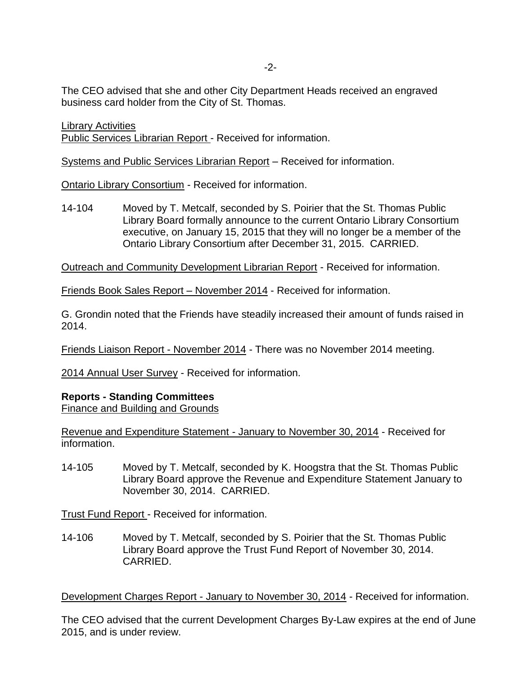-2-

The CEO advised that she and other City Department Heads received an engraved business card holder from the City of St. Thomas.

**Library Activities** 

Public Services Librarian Report - Received for information.

Systems and Public Services Librarian Report – Received for information.

Ontario Library Consortium - Received for information.

14-104 Moved by T. Metcalf, seconded by S. Poirier that the St. Thomas Public Library Board formally announce to the current Ontario Library Consortium executive, on January 15, 2015 that they will no longer be a member of the Ontario Library Consortium after December 31, 2015. CARRIED.

Outreach and Community Development Librarian Report - Received for information.

Friends Book Sales Report – November 2014 - Received for information.

G. Grondin noted that the Friends have steadily increased their amount of funds raised in 2014.

Friends Liaison Report - November 2014 - There was no November 2014 meeting.

2014 Annual User Survey - Received for information.

#### **Reports - Standing Committees**

Finance and Building and Grounds

Revenue and Expenditure Statement - January to November 30, 2014 - Received for information.

14-105 Moved by T. Metcalf, seconded by K. Hoogstra that the St. Thomas Public Library Board approve the Revenue and Expenditure Statement January to November 30, 2014. CARRIED.

Trust Fund Report - Received for information.

14-106 Moved by T. Metcalf, seconded by S. Poirier that the St. Thomas Public Library Board approve the Trust Fund Report of November 30, 2014. CARRIED.

Development Charges Report - January to November 30, 2014 - Received for information.

The CEO advised that the current Development Charges By-Law expires at the end of June 2015, and is under review.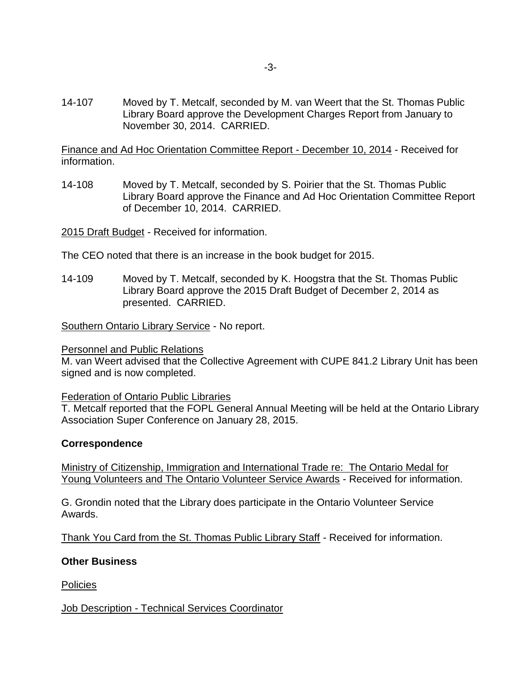14-107 Moved by T. Metcalf, seconded by M. van Weert that the St. Thomas Public Library Board approve the Development Charges Report from January to November 30, 2014. CARRIED.

Finance and Ad Hoc Orientation Committee Report - December 10, 2014 - Received for information.

14-108 Moved by T. Metcalf, seconded by S. Poirier that the St. Thomas Public Library Board approve the Finance and Ad Hoc Orientation Committee Report of December 10, 2014. CARRIED.

2015 Draft Budget - Received for information.

The CEO noted that there is an increase in the book budget for 2015.

14-109 Moved by T. Metcalf, seconded by K. Hoogstra that the St. Thomas Public Library Board approve the 2015 Draft Budget of December 2, 2014 as presented. CARRIED.

Southern Ontario Library Service - No report.

#### Personnel and Public Relations

M. van Weert advised that the Collective Agreement with CUPE 841.2 Library Unit has been signed and is now completed.

#### Federation of Ontario Public Libraries

T. Metcalf reported that the FOPL General Annual Meeting will be held at the Ontario Library Association Super Conference on January 28, 2015.

#### **Correspondence**

Ministry of Citizenship, Immigration and International Trade re: The Ontario Medal for Young Volunteers and The Ontario Volunteer Service Awards - Received for information.

G. Grondin noted that the Library does participate in the Ontario Volunteer Service Awards.

Thank You Card from the St. Thomas Public Library Staff - Received for information.

#### **Other Business**

Policies

### Job Description - Technical Services Coordinator